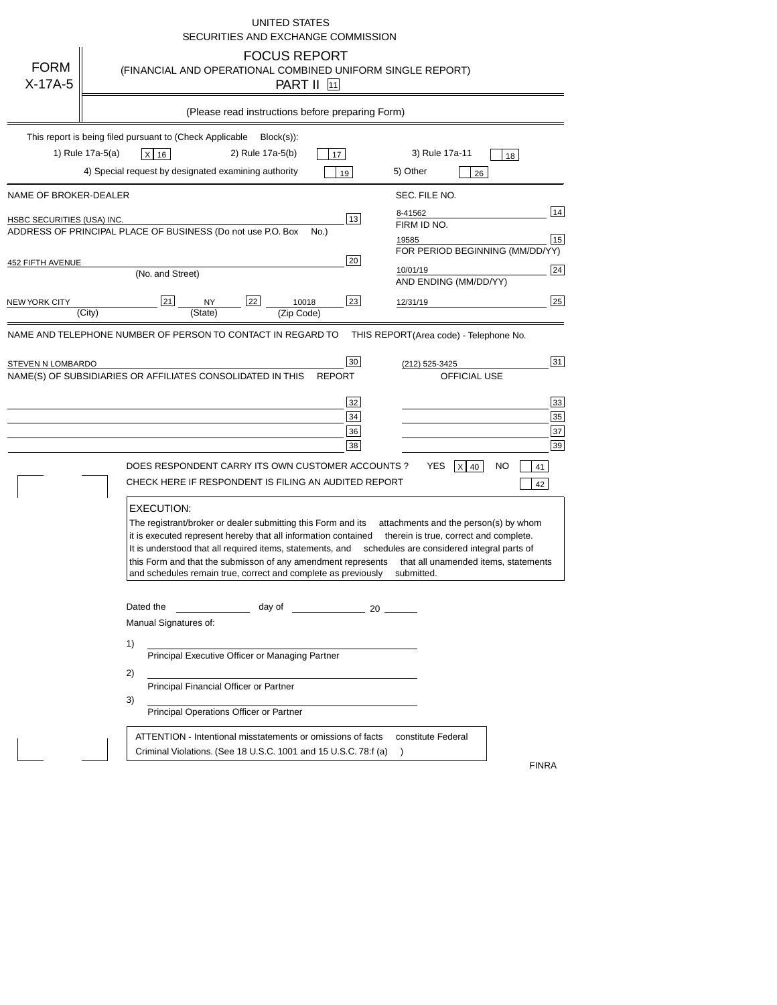|                                                     | <b>UNITED STATES</b><br>SECURITIES AND EXCHANGE COMMISSION                                                                                                                                                                                                                                                                                                                                                                                                                                                                               |
|-----------------------------------------------------|------------------------------------------------------------------------------------------------------------------------------------------------------------------------------------------------------------------------------------------------------------------------------------------------------------------------------------------------------------------------------------------------------------------------------------------------------------------------------------------------------------------------------------------|
| <b>FORM</b><br>$X-17A-5$                            | <b>FOCUS REPORT</b><br>(FINANCIAL AND OPERATIONAL COMBINED UNIFORM SINGLE REPORT)<br>PART II [11]                                                                                                                                                                                                                                                                                                                                                                                                                                        |
|                                                     | (Please read instructions before preparing Form)                                                                                                                                                                                                                                                                                                                                                                                                                                                                                         |
|                                                     | This report is being filed pursuant to (Check Applicable<br>$Block(s)$ :<br>1) Rule 17a-5(a)<br>2) Rule 17a-5(b)<br>3) Rule 17a-11<br>$x$ 16<br>17<br>18<br>4) Special request by designated examining authority<br>5) Other<br>19<br>26                                                                                                                                                                                                                                                                                                 |
| NAME OF BROKER-DEALER<br>HSBC SECURITIES (USA) INC. | SEC. FILE NO.<br>14<br>8-41562<br>13<br>FIRM ID NO.<br>ADDRESS OF PRINCIPAL PLACE OF BUSINESS (Do not use P.O. Box<br>No.)<br>15<br>19585<br>FOR PERIOD BEGINNING (MM/DD/YY)                                                                                                                                                                                                                                                                                                                                                             |
| 452 FIFTH AVENUE<br>NEW YORK CITY                   | 20<br>24<br>10/01/19<br>(No. and Street)<br>AND ENDING (MM/DD/YY)<br>25<br>21<br>22<br>23<br>10018<br><b>NY</b><br>12/31/19<br>(City)<br>(State)<br>(Zip Code)                                                                                                                                                                                                                                                                                                                                                                           |
| STEVEN N LOMBARDO                                   | 31<br>30<br>(212) 525-3425<br>NAME(S) OF SUBSIDIARIES OR AFFILIATES CONSOLIDATED IN THIS<br><b>OFFICIAL USE</b><br><b>REPORT</b><br>33<br>32<br>35<br>34<br>37<br>36<br>39<br>38<br>DOES RESPONDENT CARRY ITS OWN CUSTOMER ACCOUNTS ?<br>YES<br>$X$ 40<br>NO<br>41<br>CHECK HERE IF RESPONDENT IS FILING AN AUDITED REPORT<br>42                                                                                                                                                                                                         |
|                                                     | <b>EXECUTION:</b><br>The registrant/broker or dealer submitting this Form and its<br>attachments and the person(s) by whom<br>it is executed represent hereby that all information contained<br>therein is true, correct and complete.<br>It is understood that all required items, statements, and<br>schedules are considered integral parts of<br>this Form and that the submisson of any amendment represents<br>that all unamended items, statements<br>and schedules remain true, correct and complete as previously<br>submitted. |
|                                                     | Dated the<br>day of<br>$\sim$ 20<br>Manual Signatures of:<br>1)<br>Principal Executive Officer or Managing Partner<br>2)<br>Principal Financial Officer or Partner<br>3)<br>Principal Operations Officer or Partner                                                                                                                                                                                                                                                                                                                      |
|                                                     | ATTENTION - Intentional misstatements or omissions of facts<br>constitute Federal<br>Criminal Violations. (See 18 U.S.C. 1001 and 15 U.S.C. 78.f (a)<br><b>FINRA</b>                                                                                                                                                                                                                                                                                                                                                                     |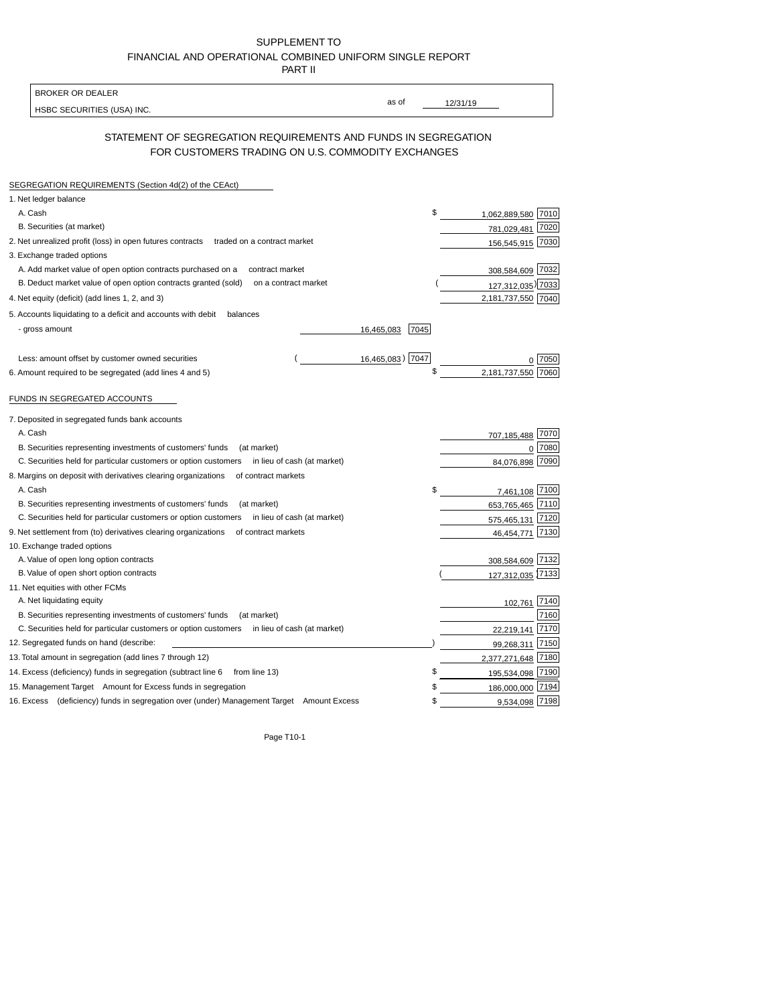| SUPPLEMENT TO                                            |
|----------------------------------------------------------|
| FINANCIAL AND OPERATIONAL COMBINED UNIFORM SINGLE REPORT |
| <b>PART II</b>                                           |

| <b>BROKER OR DEALER</b>                                                                                             |                           |
|---------------------------------------------------------------------------------------------------------------------|---------------------------|
|                                                                                                                     | as of<br>12/31/19         |
| HSBC SECURITIES (USA) INC.                                                                                          |                           |
| STATEMENT OF SEGREGATION REQUIREMENTS AND FUNDS IN SEGREGATION<br>FOR CUSTOMERS TRADING ON U.S. COMMODITY EXCHANGES |                           |
| SEGREGATION REQUIREMENTS (Section 4d(2) of the CEAct)                                                               |                           |
| 1. Net ledger balance                                                                                               |                           |
| A. Cash                                                                                                             | 1,062,889,580 7010        |
| B. Securities (at market)                                                                                           | 781,029,481<br>7020       |
| 2. Net unrealized profit (loss) in open futures contracts<br>traded on a contract market                            | 156,545,915 7030          |
| 3. Exchange traded options                                                                                          |                           |
| A. Add market value of open option contracts purchased on a<br>contract market                                      | 308,584,609 7032          |
| B. Deduct market value of open option contracts granted (sold)<br>on a contract market                              | 127,312,035) 7033         |
| 4. Net equity (deficit) (add lines 1, 2, and 3)                                                                     | 2,181,737,550 7040        |
|                                                                                                                     |                           |
| 5. Accounts liquidating to a deficit and accounts with debit<br>balances                                            |                           |
| - gross amount<br>16,465,083                                                                                        | 7045                      |
| 16,465,083) 7047<br>Less: amount offset by customer owned securities                                                | 7050                      |
| 6. Amount required to be segregated (add lines 4 and 5)                                                             | 2,181,737,550             |
| FUNDS IN SEGREGATED ACCOUNTS                                                                                        |                           |
|                                                                                                                     |                           |
| 7. Deposited in segregated funds bank accounts                                                                      |                           |
| A. Cash                                                                                                             | 707,185,488 7070          |
| B. Securities representing investments of customers' funds<br>(at market)                                           | 7080<br>$\Omega$          |
| C. Securities held for particular customers or option customers<br>in lieu of cash (at market)                      | 7090<br>84,076,898        |
| 8. Margins on deposit with derivatives clearing organizations<br>of contract markets                                |                           |
| A. Cash                                                                                                             | 7,461,108 7100            |
| B. Securities representing investments of customers' funds<br>(at market)                                           | 653,765,465<br>7110       |
| C. Securities held for particular customers or option customers<br>in lieu of cash (at market)                      | 575,465,131 7120          |
| 9. Net settlement from (to) derivatives clearing organizations<br>of contract markets                               | 7130<br>46,454,771        |
| 10. Exchange traded options                                                                                         |                           |
| A. Value of open long option contracts                                                                              | 308,584,609 7132          |
| B. Value of open short option contracts                                                                             | 127,312,035 7133          |
| 11. Net equities with other FCMs                                                                                    |                           |
| A. Net liquidating equity                                                                                           | 102,761 7140              |
| B. Securities representing investments of customers' funds<br>(at market)                                           | 7160                      |
| C. Securities held for particular customers or option customers in lieu of cash (at market)                         | 7170<br>22,219,141        |
| 12. Segregated funds on hand (describe:                                                                             | 7150<br>99,268,311        |
| 13. Total amount in segregation (add lines 7 through 12)                                                            | 2,377,271,648 7180        |
| 14. Excess (deficiency) funds in segregation (subtract line 6 from line 13)                                         | \$<br>7190<br>195,534,098 |
| 15. Management Target Amount for Excess funds in segregation                                                        | 186,000,000 7194          |
| 16. Excess (deficiency) funds in segregation over (under) Management Target Amount Excess                           | 9,534,098 7198<br>\$      |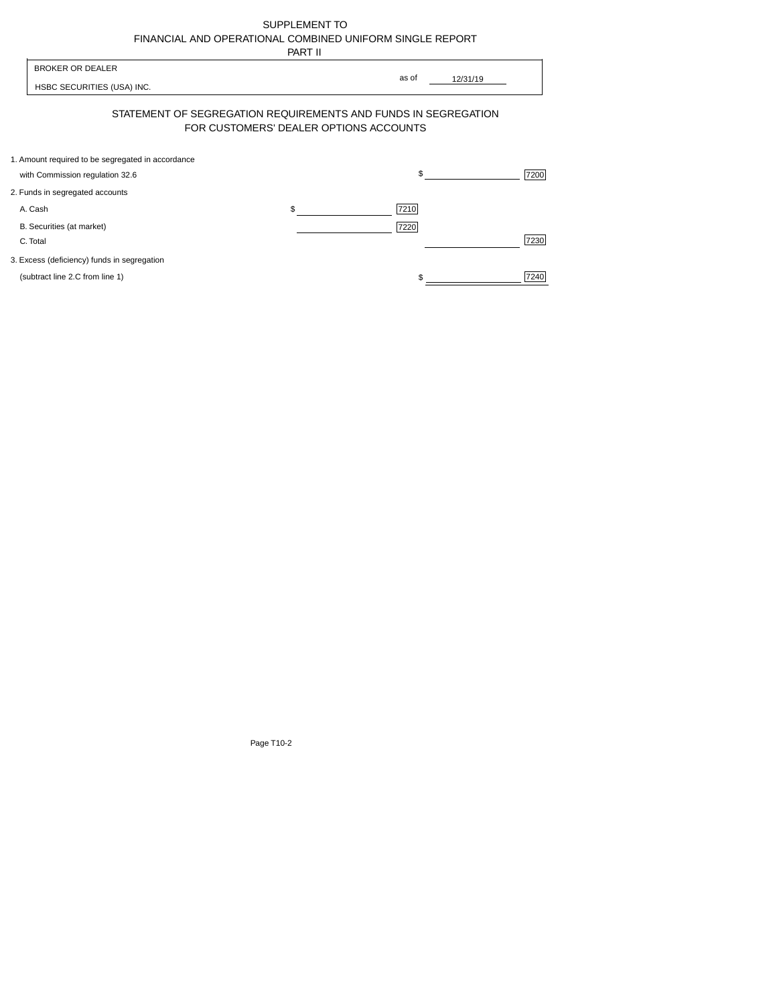| SUPPLEMENT TO                                            |
|----------------------------------------------------------|
| FINANCIAL AND OPERATIONAL COMBINED UNIFORM SINGLE REPORT |
| -----                                                    |

|                                                                                      | PART II                                |                   |      |
|--------------------------------------------------------------------------------------|----------------------------------------|-------------------|------|
| <b>BROKER OR DEALER</b><br>HSBC SECURITIES (USA) INC.                                |                                        | as of<br>12/31/19 |      |
| STATEMENT OF SEGREGATION REQUIREMENTS AND FUNDS IN SEGREGATION                       | FOR CUSTOMERS' DEALER OPTIONS ACCOUNTS |                   |      |
| 1. Amount required to be segregated in accordance<br>with Commission regulation 32.6 |                                        | \$                | 7200 |
| 2. Funds in segregated accounts                                                      |                                        |                   |      |
| A. Cash                                                                              | \$                                     | 7210              |      |
| B. Securities (at market)<br>C. Total                                                |                                        | 7220              | 7230 |
| 3. Excess (deficiency) funds in segregation                                          |                                        |                   |      |
| (subtract line 2.C from line 1)                                                      |                                        |                   | 7240 |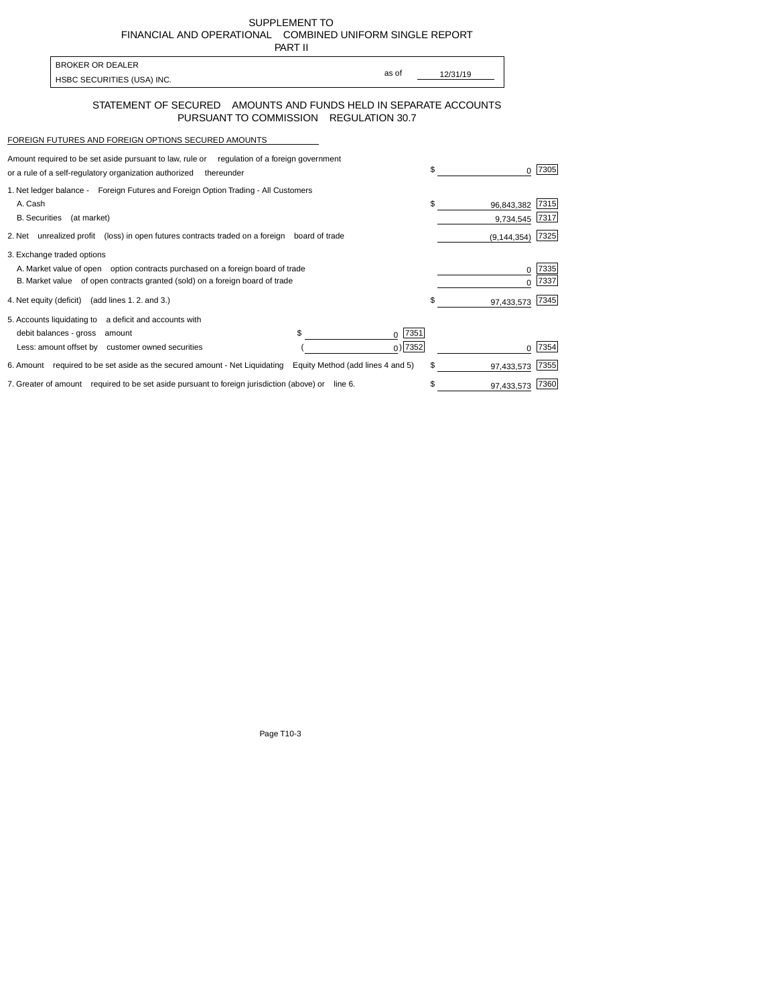SUPPLEMENT TO FINANCIAL AND OPERATIONAL COMBINED UNIFORM SINGLE REPORT PART II

| BROKER OR DEALER             |       |          |
|------------------------------|-------|----------|
|                              | as of | 12/31/19 |
| I HSBC SECURITIES (USA) INC. |       |          |

## STATEMENT OF SECURED AMOUNTS AND FUNDS HELD IN SEPARATE ACCOUNTS PURSUANT TO COMMISSION REGULATION 30.7

## FOREIGN FUTURES AND FOREIGN OPTIONS SECURED AMOUNTS

| Amount required to be set aside pursuant to law, rule or<br>regulation of a foreign government<br>or a rule of a self-regulatory organization authorized<br>thereunder                       | \$                            | 7305          |
|----------------------------------------------------------------------------------------------------------------------------------------------------------------------------------------------|-------------------------------|---------------|
| 1. Net ledger balance - Foreign Futures and Foreign Option Trading - All Customers<br>A. Cash<br><b>B.</b> Securities<br>(at market)                                                         | \$<br>96,843,382<br>9,734,545 | 7315<br>7317  |
| 2. Net unrealized profit (loss) in open futures contracts traded on a foreign board of trade                                                                                                 | (9, 144, 354)                 | 7325          |
| 3. Exchange traded options<br>A. Market value of open option contracts purchased on a foreign board of trade<br>B. Market value of open contracts granted (sold) on a foreign board of trade | 0                             | 7335 <br>7337 |
| 4. Net equity (deficit) (add lines 1.2. and 3.)                                                                                                                                              | \$<br>97,433,573              | 7345          |
| 5. Accounts liquidating to a deficit and accounts with<br>\$<br>7351<br>debit balances - gross<br>amount<br>0<br>$_0$ ) 7352<br>Less: amount offset by customer owned securities             |                               | 7354          |
| 6. Amount required to be set aside as the secured amount - Net Liquidating<br>Equity Method (add lines 4 and 5)                                                                              | \$<br>97,433,573              | 7355          |
| 7. Greater of amount required to be set aside pursuant to foreign jurisdiction (above) or line 6.                                                                                            | \$<br>97,433,573              | 7360          |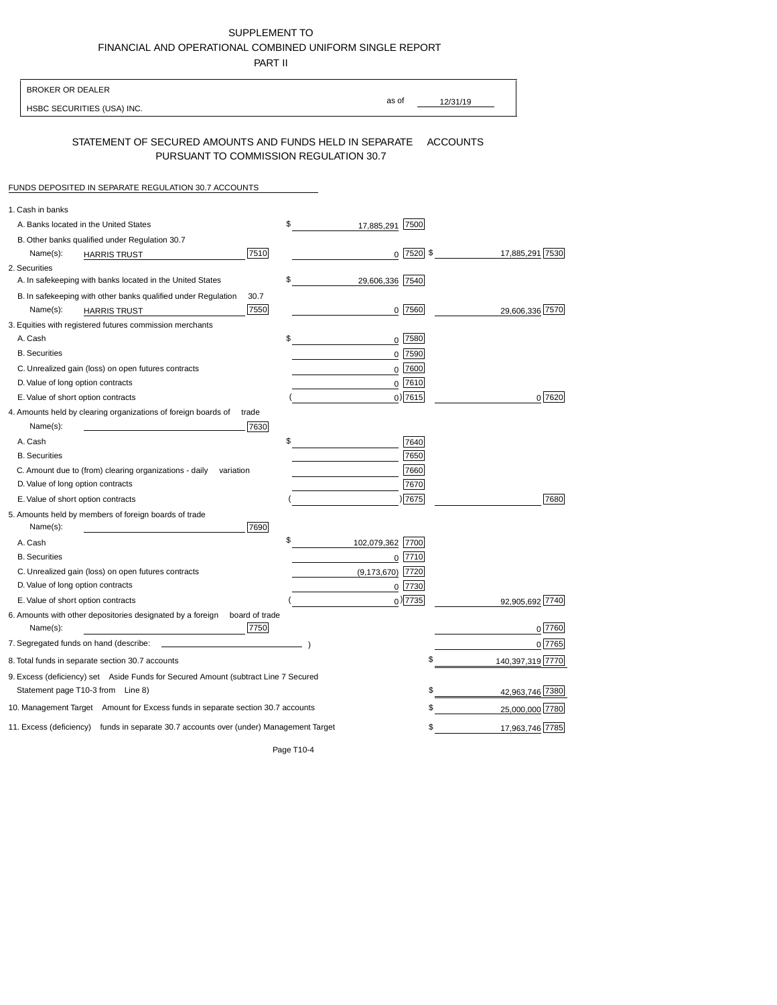SUPPLEMENT TO FINANCIAL AND OPERATIONAL COMBINED UNIFORM SINGLE REPORT

PART II

| <b>BROKER OR DEALER</b>                                                                           |                        |                                |
|---------------------------------------------------------------------------------------------------|------------------------|--------------------------------|
| HSBC SECURITIES (USA) INC.                                                                        | as of                  | 12/31/19                       |
| STATEMENT OF SECURED AMOUNTS AND FUNDS HELD IN SEPARATE<br>PURSUANT TO COMMISSION REGULATION 30.7 |                        | <b>ACCOUNTS</b>                |
| FUNDS DEPOSITED IN SEPARATE REGULATION 30.7 ACCOUNTS                                              |                        |                                |
| 1. Cash in banks                                                                                  |                        |                                |
| A. Banks located in the United States                                                             | \$<br>17,885,291       | 7500                           |
| B. Other banks qualified under Regulation 30.7                                                    |                        |                                |
| 7510<br>Name(s):<br><b>HARRIS TRUST</b>                                                           |                        | $0$ 7520 \$<br>17,885,291 7530 |
| 2. Securities                                                                                     |                        |                                |
| A. In safekeeping with banks located in the United States                                         | \$<br>29,606,336 7540  |                                |
| B. In safekeeping with other banks qualified under Regulation<br>30.7                             |                        |                                |
| 7550<br>Name(s):<br><b>HARRIS TRUST</b>                                                           |                        | $0$  7560 <br>29,606,336 7570  |
| 3. Equities with registered futures commission merchants                                          |                        |                                |
| A. Cash<br><b>B.</b> Securities                                                                   | \$                     | 0 7580                         |
|                                                                                                   | 0                      | 7590                           |
| C. Unrealized gain (loss) on open futures contracts<br>D. Value of long option contracts          |                        | 0 7600<br>$0$ 7610             |
| E. Value of short option contracts                                                                |                        | $0)$ 7615<br>0 7620            |
| 4. Amounts held by clearing organizations of foreign boards of<br>trade                           |                        |                                |
| Name(s):<br>7630                                                                                  |                        |                                |
| A. Cash                                                                                           | \$                     | 7640                           |
| <b>B.</b> Securities                                                                              |                        | 7650                           |
| C. Amount due to (from) clearing organizations - daily<br>variation                               |                        | 7660                           |
| D. Value of long option contracts                                                                 |                        | 7670                           |
| E. Value of short option contracts                                                                |                        | ) 7675<br>7680                 |
| 5. Amounts held by members of foreign boards of trade                                             |                        |                                |
| 7690<br>Name(s):                                                                                  |                        |                                |
| A. Cash                                                                                           | \$<br>102,079,362 7700 |                                |
| <b>B.</b> Securities                                                                              |                        | $0$ $Z710$                     |
| C. Unrealized gain (loss) on open futures contracts                                               | (9, 173, 670)          | 7720                           |
| D. Value of long option contracts                                                                 | 0                      | 7730                           |
| E. Value of short option contracts                                                                |                        | $_0)$ 7735<br>92,905,692 7740  |
| 6. Amounts with other depositories designated by a foreign<br>board of trade<br>7750<br>Name(s):  |                        | 0 7760                         |
| 7. Segregated funds on hand (describe:                                                            |                        | 07765                          |
| 8. Total funds in separate section 30.7 accounts                                                  |                        | \$<br>140,397,319 7770         |
| 9. Excess (deficiency) set Aside Funds for Secured Amount (subtract Line 7 Secured                |                        |                                |
| Statement page T10-3 from Line 8)                                                                 |                        | \$<br>42,963,746 7380          |
| 10. Management Target Amount for Excess funds in separate section 30.7 accounts                   |                        | 25,000,000 7780<br>\$          |
| 11. Excess (deficiency) funds in separate 30.7 accounts over (under) Management Target            |                        | \$<br>17,963,746 7785          |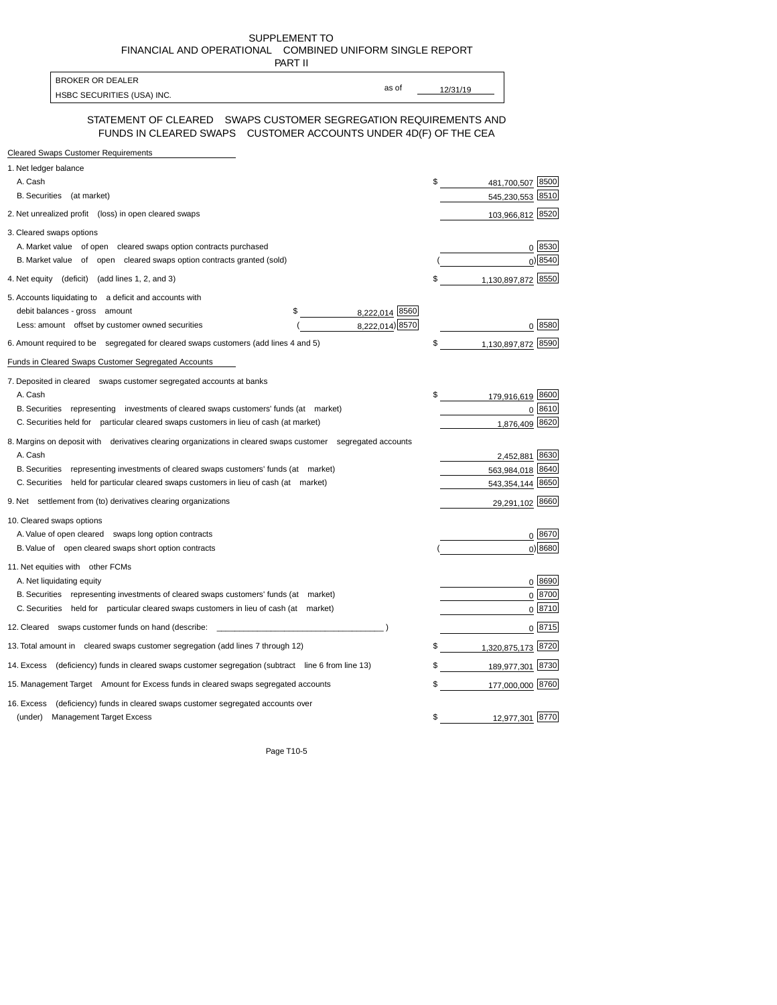SUPPLEMENT TO FINANCIAL AND OPERATIONAL COMBINED UNIFORM SINGLE REPORT

| PART II                                                                                                                             |          |                    |            |
|-------------------------------------------------------------------------------------------------------------------------------------|----------|--------------------|------------|
| <b>BROKER OR DEALER</b><br>as of                                                                                                    |          |                    |            |
| HSBC SECURITIES (USA) INC.                                                                                                          | 12/31/19 |                    |            |
| STATEMENT OF CLEARED SWAPS CUSTOMER SEGREGATION REQUIREMENTS AND<br>FUNDS IN CLEARED SWAPS CUSTOMER ACCOUNTS UNDER 4D(F) OF THE CEA |          |                    |            |
| <b>Cleared Swaps Customer Requirements</b>                                                                                          |          |                    |            |
| 1. Net ledger balance                                                                                                               |          |                    |            |
| A. Cash                                                                                                                             | \$       | 481,700,507 8500   |            |
| B. Securities (at market)                                                                                                           |          | 545,230,553 8510   |            |
| 2. Net unrealized profit (loss) in open cleared swaps                                                                               |          | 103,966,812 8520   |            |
| 3. Cleared swaps options                                                                                                            |          |                    |            |
| A. Market value of open cleared swaps option contracts purchased                                                                    |          |                    | 0 8530     |
| B. Market value of open cleared swaps option contracts granted (sold)                                                               |          |                    | 0 8540     |
| 4. Net equity (deficit) (add lines 1, 2, and 3)                                                                                     | \$       | 1,130,897,872      | 8550       |
| 5. Accounts liquidating to a deficit and accounts with                                                                              |          |                    |            |
| debit balances - gross amount<br>\$<br>8,222,014 8560                                                                               |          |                    |            |
| 8,222,014) 8570<br>Less: amount offset by customer owned securities                                                                 |          |                    | 0 8580     |
| 6. Amount required to be segregated for cleared swaps customers (add lines 4 and 5)                                                 | \$       | 1,130,897,872      | 8590       |
| Funds in Cleared Swaps Customer Segregated Accounts                                                                                 |          |                    |            |
| 7. Deposited in cleared swaps customer segregated accounts at banks                                                                 |          |                    |            |
| A. Cash                                                                                                                             | \$       | 179,916,619 8600   |            |
| B. Securities representing investments of cleared swaps customers' funds (at market)                                                |          |                    | 0 8610     |
| C. Securities held for particular cleared swaps customers in lieu of cash (at market)                                               |          | 1,876,409 8620     |            |
| 8. Margins on deposit with derivatives clearing organizations in cleared swaps customer segregated accounts                         |          |                    |            |
| A. Cash                                                                                                                             |          | 2,452,881 8630     |            |
| B. Securities representing investments of cleared swaps customers' funds (at market)                                                |          | 563,984,018 8640   |            |
| C. Securities held for particular cleared swaps customers in lieu of cash (at market)                                               |          | 543,354,144 8650   |            |
| 9. Net settlement from (to) derivatives clearing organizations                                                                      |          | 29,291,102 8660    |            |
| 10. Cleared swaps options                                                                                                           |          |                    |            |
| A. Value of open cleared swaps long option contracts                                                                                |          |                    | 0 8670     |
| B. Value of open cleared swaps short option contracts                                                                               |          |                    | $0$ ) 8680 |
| 11. Net equities with other FCMs                                                                                                    |          |                    |            |
| A. Net liquidating equity                                                                                                           |          |                    | 0 8690     |
| B. Securities representing investments of cleared swaps customers' funds (at market)                                                |          |                    | $0^{8700}$ |
| C. Securities held for particular cleared swaps customers in lieu of cash (at market)                                               |          |                    | 0 8710     |
| 12. Cleared swaps customer funds on hand (describe:                                                                                 |          |                    | 0 8715     |
| 13. Total amount in cleared swaps customer segregation (add lines 7 through 12)                                                     | \$       | 1,320,875,173 8720 |            |
| 14. Excess (deficiency) funds in cleared swaps customer segregation (subtract line 6 from line 13)                                  | \$       | 189,977,301 8730   |            |
| 15. Management Target Amount for Excess funds in cleared swaps segregated accounts                                                  | \$       | 177,000,000 8760   |            |
| 16. Excess<br>(deficiency) funds in cleared swaps customer segregated accounts over                                                 |          |                    |            |
| <b>Management Target Excess</b><br>(under)                                                                                          | \$       | 12,977,301 8770    |            |
|                                                                                                                                     |          |                    |            |